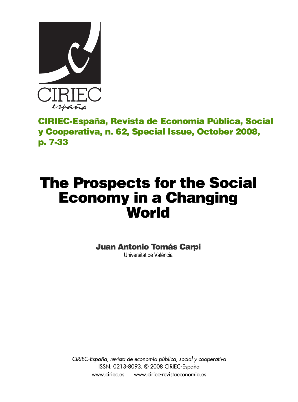

**CIRIEC-España, Revista de Economía Pública, Social y Cooperativa, n. 62, Special Issue, October 2008, p. 7-33**

# **The Prospects for the Social Economy in a Changing World**

**Juan Antonio Tomás Carpi** 

Universitat de València

*CIRIEC-España, revista de economía pública, social y cooperativa* ISSN: 0213-8093. © 2008 CIRIEC-España www.ciriec.es www.ciriec-revistaeconomia.es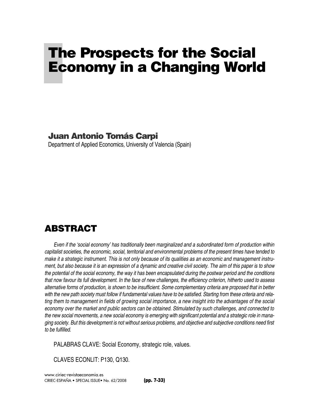# **The Prospects for the Social Economy in a Changing World**

### **Juan Antonio Tomás Carpi**

Department of Applied Economics, University of Valencia (Spain)

# **ABSTRACT**

*Even if the 'social economy' has traditionally been marginalized and a subordinated form of production within capitalist societies, the economic, social, territorial and environmental problems of the present times have tended to make it a strategic instrument. This is not only because of its qualities as an economic and management instrument, but also because it is an expression of a dynamic and creative civil society. The aim of this paper is to show the potential of the social economy, the way it has been encapsulated during the postwar period and the conditions that now favour its full development. In the face of new challenges, the efficiency criterion, hitherto used to assess alternative forms of production, is shown to be insufficient. Some complementary criteria are proposed that in better with the new path society must follow if fundamental values have to be satisfied. Starting from these criteria and relating them to management in fields of growing social importance, a new insight into the advantages of the social economy over the market and public sectors can be obtained. Stimulated by such challenges, and connected to the new social movements, a new social economy is emerging with significant potential and a strategic role in managing society. But this development is not without serious problems, and objective and subjective conditions need first to be fulfilled.* 

PALABRAS CLAVE: Social Economy, strategic role, values.

CLAVES ECONLIT: P130, Q130.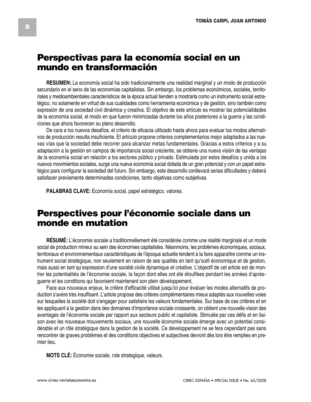## **Perspectivas para la economía social en un mundo en transformación**

**RESUMEN:** La economía social ha sido tradicionalmente una realidad marginal y un modo de producción secundario en el seno de las economías capitalistas. Sin embargo, los problemas económicos, sociales, territoriales y medioambientales característicos de la época actual tienden a mostrarla como un instrumento social estratégico, no solamente en virtud de sus cualidades como herramienta económica y de gestión, sino también como expresión de una sociedad civil dinámica y creativa. El objetivo de este artículo es mostrar las potencialidades de la economía social, el modo en que fueron minimizadas durante los años posteriores a la guerra y las condiciones que ahora favorecen su pleno desarrollo.

De cara a los nuevos desafíos, el criterio de eficacia utilizado hasta ahora para evaluar los modos alternativos de producción resulta insuficiente. El artículo propone criterios complementarios mejor adaptados a las nuevas vías que la sociedad debe recorrer para alcanzar metas fundamentales. Gracias a estos criterios y a su adaptación a la gestión en campos de importancia social creciente, se obtiene una nueva visión de las ventajas de la economía social en relación a los sectores público y privado. Estimulada por estos desafíos y unida a los nuevos movimientos sociales, surge una nueva economía social dotada de un gran potencial y con un papel estratégico para configurar la sociedad del futuro. Sin embargo, este desarrollo conllevará serias dificultades y deberá satisfacer previamente determinadas condiciones, tanto objetivas como subjetivas.

**PALABRAS CLAVE:** Economía social, papel estratégico, valores.

### **Perspectives pour l'économie sociale dans un monde en mutation**

**RÉSUMÉ:** L'économie sociale a traditionnellement été considérée comme une réalité marginale et un mode social de production mineur au sein des économies capitalistes. Néanmoins, les problèmes économiques, sociaux, territoriaux et environnementaux caractéristiques de l'époque actuelle tendent à la faire apparaître comme un instrument social stratégique, non seulement en raison de ses qualités en tant qu'outil économique et de gestion, mais aussi en tant qu'expression d'une société civile dynamique et créative. L'objectif de cet article est de montrer les potentialités de l'économie sociale, la façon dont elles ont été étouffées pendant les années d'aprèsguerre et les conditions qui favorisent maintenant son plein développement.

Face aux nouveaux enjeux, le critère d'efficacité utilisé jusqu'ici pour évaluer les modes alternatifs de production s'avère très insuffisant. L'article propose des critères complémentaires mieux adaptés aux nouvelles voies sur lesquelles la société doit s'engager pour satisfaire les valeurs fondamentales. Sur base de ces critères et en les appliquant à la gestion dans des domaines d'importance sociale croissante, on obtient une nouvelle vision des avantages de l'économie sociale par rapport aux secteurs public et capitaliste. Stimulée par ces défis et en liaison avec les nouveaux mouvements sociaux, une nouvelle économie sociale émerge avec un potentiel considérable et un rôle stratégique dans la gestion de la société. Ce développement ne se fera cependant pas sans rencontrer de graves problèmes et des conditions objectives et subjectives devront dès lors être remplies en premier lieu.

**MOTS CLÉ:** Économie sociale, role strategique, valeurs.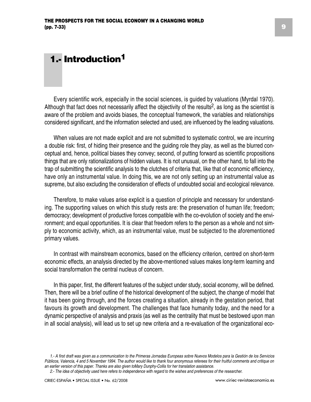# **1.- Introduction1**

Every scientific work, especially in the social sciences, is guided by valuations (Myrdal 1970). Although that fact does not necessarily affect the objectivity of the results<sup>2</sup>, as long as the scientist is aware of the problem and avoids biases, the conceptual framework, the variables and relationships considered significant, and the information selected and used, are influenced by the leading valuations.

When values are not made explicit and are not submitted to systematic control, we are incurring a double risk: first, of hiding their presence and the guiding role they play, as well as the blurred conceptual and, hence, political biases they convey; second, of putting forward as scientific propositions things that are only rationalizations of hidden values. It is not unusual, on the other hand, to fall into the trap of submitting the scientific analysis to the clutches of criteria that, like that of economic efficiency, have only an instrumental value. In doing this, we are not only setting up an instrumental value as supreme, but also excluding the consideration of effects of undoubted social and ecological relevance.

Therefore, to make values arise explicit is a question of principle and necessary for understanding. The supporting values on which this study rests are: the preservation of human life; freedom; democracy; development of productive forces compatible with the co-evolution of society and the environment; and equal opportunities. It is clear that freedom refers to the person as a whole and not simply to economic activity, which, as an instrumental value, must be subjected to the aforementioned primary values.

In contrast with mainstream economics, based on the efficiency criterion, centred on short-term economic effects, an analysis directed by the above-mentioned values makes long-term learning and social transformation the central nucleus of concern.

In this paper, first, the different features of the subject under study, social economy, will be defined. Then, there will be a brief outline of the historical development of the subject, the change of model that it has been going through, and the forces creating a situation, already in the gestation period, that favours its growth and development. The challenges that face humanity today, and the need for a dynamic perspective of analysis and praxis (as well as the centrality that must be bestowed upon man in all social analysis), will lead us to set up new criteria and a re-evaluation of the organizational eco-

*<sup>1.-</sup> A first draft was given as a communication to the Primeras Jornadas Europeas sobre Nuevos Modelos para la Gestión de los Servicios Públicos, Valencia, 4 and 5 November 1994. The author would like to thank four anonymous referees for their fruitful comments and critique on an earlier version of this paper. Thanks are also given toMary Dunphy-Collis for her translation assistance.* 

*<sup>2.-</sup> The idea of objectivity used here refers to independence with regard to the wishes and preferences of the researcher.*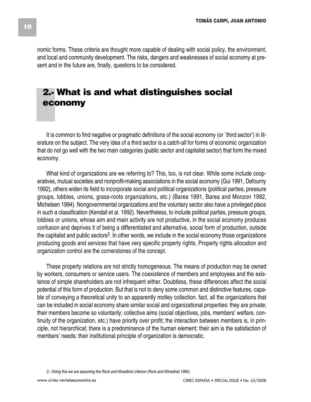nomic forms. These criteria are thought more capable of dealing with social policy, the environment, and local and community development. The risks, dangers and weaknesses of social economy at present and in the future are, finally, questions to be considered.

# **2.- What is and what distinguishes social economy**

It is common to find negative or pragmatic definitions of the social economy (or `third sector') in literature on the subject. The very idea of a third sector is a catch-all for forms of economic organization that do not go well with the two main categories (public sector and capitalist sector) that form the mixed economy.

What kind of organizations are we referring to? This, too, is not clear. While some include cooperatives, mutual societies and nonprofit-making associations in the social economy (Gui 1991, Defourny 1992), others widen its field to incorporate social and political organizations (political parties, pressure groups, lobbies, unions, grass-roots organizations, etc.) (Barea 1991, Barea and Monzon 1992, Michelsen 1994). Nongovernmental organizations and the voluntary sector also have a privileged place in such a classification (Kendall et al. 1992). Nevertheless, to include political parties, pressure groups, lobbies or unions, whose aim and main activity are not productive, in the social economy produces confusion and deprives it of being a differentiated and alternative, social form of production, outside the capitalist and public sectors<sup>3</sup>. In other words, we include in the social economy those organizations producing goods and services that have very specific property rights. Property rights allocation and organization control are the cornerstones of the concept.

These property relations are not strictly homogeneous. The means of production may be owned by workers, consumers or service users. The coexistence of members and employees and the existence of simple shareholders are not infrequent either. Doubtless, these differences affect the social potential of this form of production. But that is not to deny some common and distinctive features, capable of conveying a theoretical unity to an apparently motley collection. fact, all the organizations that can be included in social economy share similar social and organizational properties: they are private; their members become so voluntarily; collective aims (social objectives, jobs, members' welfare, continuity of the organization, etc.) have priority over profit; the interaction between members is, in principle, not hierarchical; there is a predominance of the human element; their aim is the satisfaction of members' needs; their institutional principle of organization is democratic.

*<sup>3.-</sup> Doing this we are assuming the Rock and Klinedinst criterion (Rock and Klinedinst 1994).*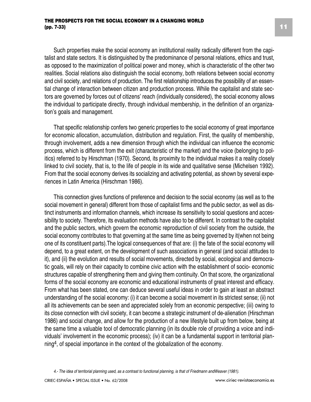#### **THE PROSPECTS FOR THE SOCIAL ECONOMY IN A CHANGING WORLD (pp. 7-33)**

Such properties make the social economy an institutional reality radically different from the capitalist and state sectors. It is distinguished by the predominance of personal relations, ethics and trust, as opposed to the maximization of political power and money, which is characteristic of the other two realities. Social relations also distinguish the social economy, both relations between social economy and civil society, and relations of production. The first relationship introduces the possibility of an essential change of interaction between citizen and production process. While the capitalist and state sectors are governed by forces out of citizens' reach (individually considered), the social economy allows the individual to participate directly, through individual membership, in the definition of an organization's goals and management.

That specific relationship confers two generic properties to the social economy of great importance for economic allocation, accumulation, distribution and regulation. First, the quality of membership, through involvement, adds a new dimension through which the individual can influence the economic process, which is different from the exit (characteristic of the market) and the voice (belonging to politics) referred to by Hirschman (1970). Second, its proximity to the individual makes it a reality closely linked to civil society, that is, to the life of people in its wide and qualitative sense (Michelsen 1992). From that the social economy derives its socializing and activating potential, as shown by several experiences in Latin America (Hirschman 1986).

This connection gives functions of preference and decision to the social economy (as well as to the social movement in general) different from those of capitalist firms and the public sector, as well as distinct instruments and information channels, which increase its sensitivity to social questions and accessibility to society. Therefore, its evaluation methods have also to be different. In contrast to the capitalist and the public sectors, which govern the economic reproduction of civil society from the outside, the social economy contributes to that governing at the same time as being governed by it(when not being one of its constituent parts).The logical consequences of that are: (i) the fate of the social economy will depend, to a great extent, on the development of such associations in general (and social attitudes to it), and (ii) the evolution and results of social movements, directed by social, ecological and democratic goals, will rely on their capacity to combine civic action with the establishment of socio- economic structures capable of strengthening them and giving them continuity. On that score, the organizational forms of the social economy are economic and educational instruments of great interest and efficacy. From what has been stated, one can deduce several useful ideas in order to gain at least an abstract understanding of the social economy: (i) it can become a social movement in its strictest sense; (ii) not all its achievements can be seen and appreciated solely from an economic perspective; (iii) owing to its close connection with civil society, it can become a strategic instrument of de-alienation (Hirschman 1986) and social change, and allow for the production of a new lifestyle built up from below, being at the same time a valuable tool of democratic planning (in its double role of providing a voice and individuals' involvement in the economic process); (iv) it can be a fundamental support in territorial planning4, of special importance in the context of the globalization of the economy.

*<sup>4.-</sup> The idea of territorial planning used, as a contrast to functional planning, is that of Friedmann andWeaver (1981).*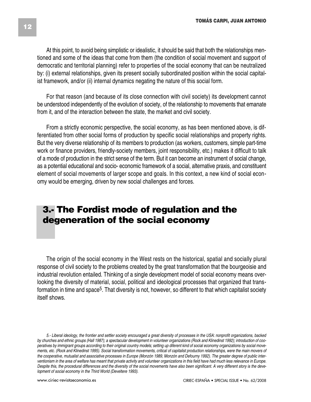At this point, to avoid being simplistic or idealistic, it should be said that both the relationships mentioned and some of the ideas that come from them (the condition of social movement and support of democratic and territorial planning) refer to properties of the social economy that can be neutralized by: (i) external relationships, given its present socially subordinated position within the social capitalist framework, and/or (ii) internal dynamics negating the nature of this social form.

For that reason (and because of its close connection with civil society) its development cannot be understood independently of the evolution of society, of the relationship to movements that emanate from it, and of the interaction between the state, the market and civil society.

From a strictly economic perspective, the social economy, as has been mentioned above, is differentiated from other social forms of production by specific social relationships and property rights. But the very diverse relationship of its members to production (as workers, customers, simple part-time work or finance providers, friendly-society members, joint responsibility, etc.) makes it difficult to talk of a mode of production in the strict sense of the term. But it can become an instrument of social change, as a potential educational and socio- economic framework of a social, alternative praxis, and constituent element of social movements of larger scope and goals. In this context, a new kind of social economy would be emerging, driven by new social challenges and forces.

# **3.- The Fordist mode of regulation and the degeneration of the social economy**

The origin of the social economy in the West rests on the historical, spatial and socially plural response of civil society to the problems created by the great transformation that the bourgeoisie and industrial revolution entailed. Thinking of a single development model of social economy means overlooking the diversity of material, social, political and ideological processes that organized that transformation in time and space5. That diversity is not, however, so different to that which capitalist society itself shows.

*<sup>5.-</sup> Liberal ideology, the frontier and settler society encouraged a great diversity of processes in the USA: nonprofit organizations, backed by churches and ethnic groups (Hall 1987); a spectacular development in volunteer organizations (Rock and Klinedinst 1992); introduction of cooperatives by immigrant groups according to their original country models; setting up diferent kind of social economy organizations by social movements, etc. (Rock and Klinedinst 1995). Social transformation movements, critical of capitalist production relationships, were the main movers of the cooperative, mutualist and associative processes in Europe (Monzón 1989, Monzón and Defourny 1992). The greater degree of public interventionism in the area of welfare has meant that private activity and volunteer organizations in this field have had much less relevance in Europe. Despite this, the procedural differences and the diversity of the social movements have also been significant. A very different story is the development of social economy in the Third World (Develtere 1993).*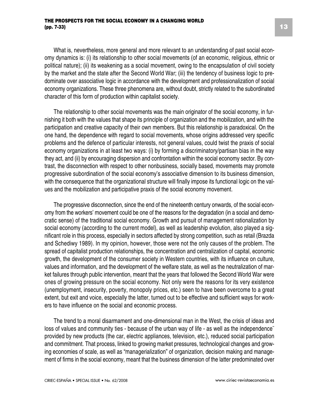#### **THE PROSPECTS FOR THE SOCIAL ECONOMY IN A CHANGING WORLD (pp. 7-33)**

What is, nevertheless, more general and more relevant to an understanding of past social economy dynamics is: (i) its relationship to other social movements (of an economic, religious, ethnic or political nature); (ii) its weakening as a social movement, owing to the encapsulation of civil society by the market and the state after the Second World War; (iii) the tendency of business logic to predominate over associative logic in accordance with the development and professionalization of social economy organizations. These three phenomena are, without doubt, strictly related to the subordinated character of this form of production within capitalist society.

The relationship to other social movements was the main originator of the social economy, in furnishing it both with the values that shape its principle of organization and the mobilization, and with the participation and creative capacity of their own members. But this relationship is paradoxical. On the one hand, the dependence with regard to social movements, whose origins addressed very specific problems and the defence of particular interests, not general values, could twist the praxis of social economy organizations in at least two ways: (i) by forming a discriminatory/partisan bias in the way they act, and (ii) by encouraging dispersion and confrontation within the social economy sector. By contrast, the disconnection with respect to other nonbusiness, socially based, movements may promote progressive subordination of the social economy's associative dimension to its business dimension, with the consequence that the organizational structure will finally impose its functional logic on the values and the mobilization and participative praxis of the social economy movement.

The progressive disconnection, since the end of the nineteenth century onwards, of the social economy from the workers' movement could be one of the reasons for the degradation (in a social and democratic sense) of the traditional social economy. Growth and pursuit of management rationalization by social economy (according to the current model), as well as leadership evolution, also played a significant role in this process, especially in sectors affected by strong competition, such as retail (Brazda and Schediwy 1989). In my opinion, however, those were not the only causes of the problem. The spread of capitalist production relationships, the concentration and centralization of capital, economic growth, the development of the consumer society in Western countries, with its influence on culture, values and information, and the development of the welfare state, as well as the neutralization of market failures through public intervention, meant that the years that followed the Second World War were ones of growing pressure on the social economy. Not only were the reasons for its very existence (unemployment, insecurity, poverty, monopoly prices, etc.) seen to have been overcome to a great extent, but exit and voice, especially the latter, turned out to be effective and sufficient ways for workers to have influence on the social and economic process.

The trend to a moral disarmament and one-dimensional man in the West, the crisis of ideas and loss of values and community ties - because of the urban way of life - as well as the independence¨ provided by new products (the car, electric appliances, television, etc.), reduced social participation and commitment. That process, linked to growing market pressures, technological changes and growing economies of scale, as well as "managerialization" of organization, decision making and management of firms in the social economy, meant that the business dimension of the latter predominated over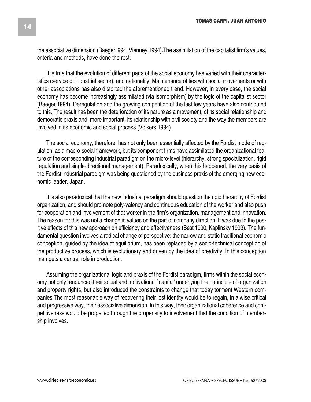the associative dimension (Baeger l994, Vienney 1994).The assimilation of the capitalist firm's values, criteria and methods, have done the rest.

It is true that the evolution of different parts of the social economy has varied with their characteristics (service or industrial sector), and nationality. Maintenance of ties with social movements or with other associations has also distorted the aforementioned trend. However, in every case, the social economy has become increasingly assimilated (via isomorphism) by the logic of the capitalist sector (Baeger 1994). Deregulation and the growing competition of the last few years have also contributed to this. The result has been the deterioration of its nature as a movement, of its social relationship and democratic praxis and, more important, its relationship with civil society and the way the members are involved in its economic and social process (Volkers 1994).

The social economy, therefore, has not only been essentially affected by the Fordist mode of regulation, as a macro-social framework, but its component firms have assimilated the organizational feature of the corresponding industrial paradigm on the micro-level (hierarchy, strong specialization, rigid regulation and single-directional management). Paradoxically, when this happened, the very basis of the Fordist industrial paradigm was being questioned by the business praxis of the emerging new economic leader, Japan.

It is also paradoxical that the new industrial paradigm should question the rigid hierarchy of Fordist organization, and should promote poly-valency and continuous education of the worker and also push for cooperation and involvement of that worker in the firm's organization, management and innovation. The reason for this was not a change in values on the part of company direction. It was due to the positive effects of this new approach on efficiency and effectiveness (Best 1990, Kaplinsky 1993). The fundamental question involves a radical change of perspective: the narrow and static traditional economic conception, guided by the idea of equilibrium, has been replaced by a socio-technical conception of the productive process, which is evolutionary and driven by the idea of creativity. In this conception man gets a central role in production.

Assuming the organizational logic and praxis of the Fordist paradigm, firms within the social economy not only renounced their social and motivational `capital' underlying their principle of organization and property rights, but also introduced the constraints to change that today torment Western companies.The most reasonable way of recovering their lost identity would be to regain, in a wise critical and progressive way, their associative dimension. In this way, their organizational coherence and competitiveness would be propelled through the propensity to involvement that the condition of membership involves.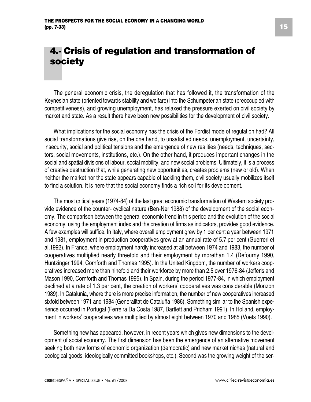# **4.- Crisis of regulation and transformation of society**

The general economic crisis, the deregulation that has followed it, the transformation of the Keynesian state (oriented towards stability and welfare) into the Schumpeterian state (preoccupied with competitiveness), and growing unemployment, has relaxed the pressure exerted on civil society by market and state. As a result there have been new possibilities for the development of civil society.

What implications for the social economy has the crisis of the Fordist mode of regulation had? All social transformations give rise, on the one hand, to unsatisfied needs, unemployment, uncertainty, insecurity, social and political tensions and the emergence of new realities (needs, techniques, sectors, social movements, institutions, etc.). On the other hand, it produces important changes in the social and spatial divisions of labour, social mobility, and new social problems. Ultimately, it is a process of creative destruction that, while generating new opportunities, creates problems (new or old). When neither the market nor the state appears capable of tackling them, civil society usually mobilizes itself to find a solution. It is here that the social economy finds a rich soil for its development.

The most critical years (1974-84) of the last great economic transformation of Western society provide evidence of the counter- cyclical nature (Ben-Ner 1988) of the development of the social economy. The comparison between the general economic trend in this period and the evolution of the social economy, using the employment index and the creation of firms as indicators, provides good evidence. A few examples will suffice. In Italy, where overall employment grew by 1 per cent a year between 1971 and 1981, employment in production cooperatives grew at an annual rate of 5.7 per cent (Guerreri et al.1992). In France, where employment hardly increased at all between 1974 and 1983, the number of cooperatives multiplied nearly threefold and their employment by morethan 1.4 (Defourny 1990, Huntzinger 1994, Cornforth and Thomas 1995). In the United Kingdom, the number of workers cooperatives increased more than ninefold and their workforce by more than 2.5 over 1976-84 (Jefferis and Mason 1990, Cornforth and Thomas 1995). In Spain, during the period 1977-84, in which employment declined at a rate of 1.3 per cent, the creation of workers' cooperatives was considerable (Monzon 1989). In Catalunia, where there is more precise information, the number of new cooperatives increased sixfold between 1971 and 1984 (Generalitat de Cataluña 1986). Something similar to the Spanish experience occurred in Portugal (Ferreira Da Costa 1987, Bartlett and Pridham 1991). In Holland, employment in workers' cooperatives was multiplied by almost eight between 1970 and 1985 (Voets 1990).

Something new has appeared, however, in recent years which gives new dimensions to the development of social economy. The first dimension has been the emergence of an alternative movement seeking both new forms of economic organization (democratic) and new market niches (natural and ecological goods, ideologically committed bookshops, etc.). Second was the growing weight of the ser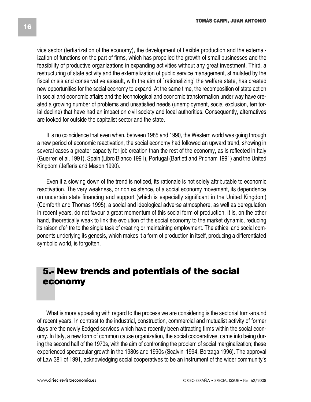vice sector (tertiarization of the economy), the development of flexible production and the externalization of functions on the part of firms, which has propelled the growth of small businesses and the feasibility of productive organizations in expanding activities without any great investment. Third, a restructuring of state activity and the externalization of public service management, stimulated by the fiscal crisis and conservative assault, with the aim of `rationalizing' the welfare state, has created new opportunities for the social economy to expand. At the same time, the recomposition of state action in social and economic affairs and the technological and economic transformation under way have created a growing number of problems and unsatisfied needs (unemployment, social exclusion, territorial decline) that have had an impact on civil society and local authorities. Consequently, alternatives are looked for outside the capitalist sector and the state.

It is no coincidence that even when, between 1985 and 1990, the Western world was going through a new period of economic reactivation, the social economy had followed an upward trend, showing in several cases a greater capacity for job creation than the rest of the economy, as is reflected in Italy (Guerreri et al. 1991), Spain (Libro Blanco 1991), Portugal (Bartlett and Pridham 1991) and the United Kingdom (Jefferis and Mason 1990).

Even if a slowing down of the trend is noticed, its rationale is not solely attributable to economic reactivation. The very weakness, or non existence, of a social economy movement, its dependence on uncertain state financing and support (which is especially significant in the United Kingdom) (Cornforth and Thomas 1995), a social and ideological adverse atmosphere, as well as deregulation in recent years, do not favour a great momentum of this social form of production. It is, on the other hand, theoretically weak to link the evolution of the social economy to the market dynamic, reducing its raison d'eª tre to the single task of creating or maintaining employment. The ethical and social components underlying its genesis, which makes it a form of production in itself, producing a differentiated symbolic world, is forgotten.

# **5.- New trends and potentials of the social economy**

What is more appealing with regard to the process we are considering is the sectorial turn-around of recent years. In contrast to the industrial, construction, commercial and mutualist activity of former days are the newly £edged services which have recently been attracting firms within the social economy. In Italy, a new form of common cause organization, the social cooperatives, came into being during the second half of the 1970s, with the aim of confronting the problem of social marginalization; these experienced spectacular growth in the 1980s and 1990s (Scalvini 1994, Borzaga 1996). The approval of Law 381 of 1991, acknowledging social cooperatives to be an instrument of the wider community's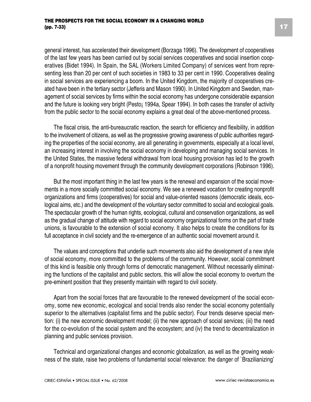general interest, has accelerated their development (Borzaga 1996). The development of cooperatives of the last few years has been carried out by social services cooperatives and social insertion cooperatives (Bidet 1994). In Spain, the SAL (Workers Limited Company) of services went from representing less than 20 per cent of such societies in 1983 to 33 per cent in 1990. Cooperatives dealing in social services are experiencing a boom. In the United Kingdom, the majority of cooperatives created have been in the tertiary sector (Jefferis and Mason 1990). In United Kingdom and Sweden, management of social services by firms within the social economy has undergone considerable expansion and the future is looking very bright (Pesto; 1994a, Spear 1994). In both cases the transfer of activity from the public sector to the social economy explains a great deal of the above-mentioned process.

The fiscal crisis, the anti-bureaucratic reaction, the search for efficiency and flexibility, in addition to the involvement of citizens, as well as the progressive growing awareness of public authorities regarding the properties of the social economy, are all generating in governments, especially at a local level, an increasing interest in involving the social economy in developing and managing social services. In the United States, the massive federal withdrawal from local housing provision has led to the growth of a nonprofit housing movement through the community development corporations (Robinson 1996).

But the most important thing in the last few years is the renewal and expansion of the social movements in a more socially committed social economy. We see a renewed vocation for creating nonprofit organizations and firms (cooperatives) for social and value-oriented reasons (democratic ideals, ecological aims, etc.) and the development of the voluntary sector committed to social and ecological goals. The spectacular growth of the human rights, ecological, cultural and conservation organizations, as well as the gradual change of attitude with regard to social economy organizational forms on the part of trade unions, is favourable to the extension of social economy. It also helps to create the conditions for its full acceptance in civil society and the re-emergence of an authentic social movement around it.

The values and conceptions that underlie such movements also aid the development of a new style of social economy, more committed to the problems of the community. However, social commitment of this kind is feasible only through forms of democratic management. Without necessarily eliminating the functions of the capitalist and public sectors, this will allow the social economy to overturn the pre-eminent position that they presently maintain with regard to civil society.

Apart from the social forces that are favourable to the renewed development of the social economy, some new economic, ecological and social trends also render the social economy potentially superior to the alternatives (capitalist firms and the public sector). Four trends deserve special mention: (i) the new economic development model; (ii) the new approach of social services; (iii) the need for the co-evolution of the social system and the ecosystem; and (iv) the trend to decentralization in planning and public services provision.

Technical and organizational changes and economic globalization, as well as the growing weakness of the state, raise two problems of fundamental social relevance: the danger of `Brazilianizing'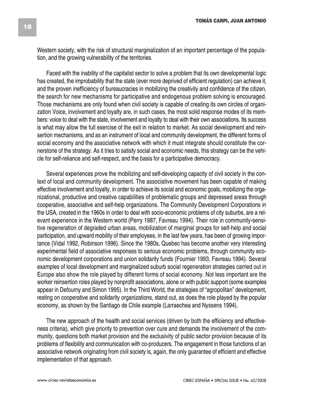Western society, with the risk of structural marginalization of an important percentage of the population, and the growing vulnerability of the territories.

Faced with the inability of the capitalist sector to solve a problem that its own developmental logic has created, the improbability that the state (ever more deprived of efficient regulation) can achieve it, and the proven inefficiency of bureaucracies in mobilizing the creativity and confidence of the citizen, the search for new mechanisms for participative and endogenous problem solving is encouraged. Those mechanisms are only found when civil society is capable of creating its own circles of organization Voice, involvement and loyalty are, in such cases, the most solid response modes of its members: voice to deal with the state, involvement and loyalty to deal with their own associations. Its success is what may allow the full exercise of the exit in relation to market. As social development and reinsertion mechanisms, and as an instrument of local and community development, the different forms of social economy and the associative network with which it must integrate should constitute the cornerstone of the strategy. As it tries to satisfy social and economic needs, this strategy can be the vehicle for self-reliance and self-respect, and the basis for a participative democracy.

Several experiences prove the mobilizing and self-developing capacity of civil society in the context of local and community development. The associative movement has been capable of making effective involvement and loyalty, in order to achieve its social and economic goals, mobilizing the organizational, productive and creative capabilities of problematic groups and depressed areas through cooperative, associative and self-help organizations. The Community Development Corporations in the USA, created in the 1960s in order to deal with socio-economic problems of city suburbs, are a relevant experience in the Western world (Perry 1987, Favreau 1994). Their role in community-sensitive regeneration of degraded urban areas, mobilization of marginal groups for self-help and social participation, and upward mobility of their employees, in the last few years, has been of growing importance (Vidal 1992, Robinson 1996). Since the 1980s, Quebec has become another very interesting experimental field of associative responses to serious economic problems, through community economic development corporations and union solidarity funds (Fournier 1993, Favreau 1994). Several examples of local development and marginalized suburb social regeneration strategies carried out in Europe also show the role played by different forms of social economy. Not less important are the worker reinsertion roles played by nonprofit associations, alone or with public support (some examples appear in Defourny and Simon 1995). In the Third World, the strategies of "agropolitan" development, resting on cooperative and solidarity organizations, stand out, as does the role played by the popular economy, as shown by the Santiago de Chile example (Larraechea and Nyssens 1994).

The new approach of the health and social services (driven by both the efficiency and effectiveness criteria), which give priority to prevention over cure and demands the involvement of the community, questions both market provision and the exclusivity of public sector provision because of its problems of flexibility and communication with co-producers. The engagement in those functions of an associative network originating from civil society is, again, the only guarantee of efficient and effective implementation of that approach.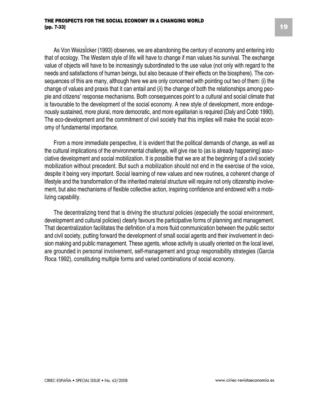#### **THE PROSPECTS FOR THE SOCIAL ECONOMY IN A CHANGING WORLD (pp. 7-33)**

As Von WeizsÌcker (1993) observes, we are abandoning the century of economy and entering into that of ecology. The Western style of life will have to change if man values his survival. The exchange value of objects will have to be increasingly subordinated to the use value (not only with regard to the needs and satisfactions of human beings, but also because of their effects on the biosphere). The consequences of this are many, although here we are only concerned with pointing out two of them: (i) the change of values and praxis that it can entail and (ii) the change of both the relationships among people and citizens' response mechanisms. Both consequences point to a cultural and social climate that is favourable to the development of the social economy. A new style of development, more endogenously sustained, more plural, more democratic, and more egalitarian is required (Daly and Cobb 1990). The eco-development and the commitment of civil society that this implies will make the social economy of fundamental importance.

From a more immediate perspective, it is evident that the political demands of change, as well as the cultural implications of the environmental challenge, will give rise to (as is already happening) associative development and social mobilization. It is possible that we are at the beginning of a civil society mobilization without precedent. But such a mobilization should not end in the exercise of the voice, despite it being very important. Social learning of new values and new routines, a coherent change of lifestyle and the transformation of the inherited material structure will require not only citizenship involvement, but also mechanisms of flexible collective action, inspiring confidence and endowed with a mobilizing capability.

The decentralizing trend that is driving the structural policies (especially the social environment, development and cultural policies) clearly favours the participative forms of planning and management. That decentralization facilitates the definition of a more fluid communication between the public sector and civil society, putting forward the development of small social agents and their involvement in decision making and public management. These agents, whose activity is usually oriented on the local level, are grounded in personal involvement, self-management and group responsibility strategies (Garcia Roca 1992), constituting multiple forms and varied combinations of social economy.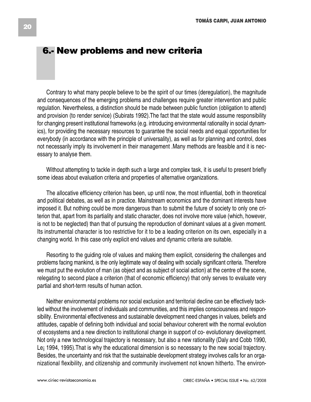### **6.- New problems and new criteria**

Contrary to what many people believe to be the spirit of our times (deregulation), the magnitude and consequences of the emerging problems and challenges require greater intervention and public regulation. Nevertheless, a distinction should be made between public function (obligation to attend) and provision (to render service) (Subirats 1992).The fact that the state would assume responsibility for changing present institutional frameworks (e.g. introducing environmental rationality in social dynamics), for providing the necessary resources to guarantee the social needs and equal opportunities for everybody (in accordance with the principle of universality), as well as for planning and control, does not necessarily imply its involvement in their management .Many methods are feasible and it is necessary to analyse them.

Without attempting to tackle in depth such a large and complex task, it is useful to present briefly some ideas about evaluation criteria and properties of alternative organizations.

The allocative efficiency criterion has been, up until now, the most influential, both in theoretical and political debates, as well as in practice. Mainstream economics and the dominant interests have imposed it. But nothing could be more dangerous than to submit the future of society to only one criterion that, apart from its partiality and static character, does not involve more value (which, however, is not to be neglected) than that of pursuing the reproduction of dominant values at a given moment. Its instrumental character is too restrictive for it to be a leading criterion on its own, especially in a changing world. In this case only explicit end values and dynamic criteria are suitable.

Resorting to the guiding role of values and making them explicit, considering the challenges and problems facing mankind, is the only legitimate way of dealing with socially significant criteria. Therefore we must put the evolution of man (as object and as subject of social action) at the centre of the scene, relegating to second place a criterion (that of economic efficiency) that only serves to evaluate very partial and short-term results of human action.

Neither environmental problems nor social exclusion and territorial decline can be effectively tackled without the involvement of individuals and communities, and this implies consciousness and responsibility. Environmental effectiveness and sustainable development need changes in values, beliefs and attitudes, capable of defining both individual and social behaviour coherent with the normal evolution of ecosystems and a new direction to institutional change in support of co- evolutionary development. Not only a new technological trajectory is necessary, but also a new rationality (Daly and Cobb 1990, Le<sub>i</sub> 1994, 1995). That is why the educational dimension is so necessary to the new social trajectory. Besides, the uncertainty and risk that the sustainable development strategy involves calls for an organizational flexibility, and citizenship and community involvement not known hitherto. The environ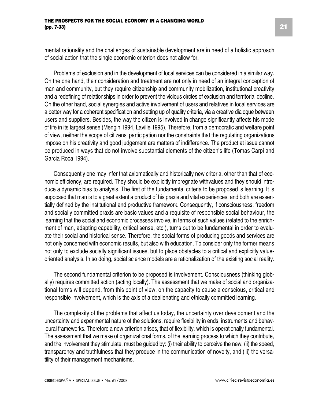mental rationality and the challenges of sustainable development are in need of a holistic approach of social action that the single economic criterion does not allow for.

Problems of exclusion and in the development of local services can be considered in a similar way. On the one hand, their consideration and treatment are not only in need of an integral conception of man and community, but they require citizenship and community mobilization, institutional creativity and a redefining of relationships in order to prevent the vicious circles of exclusion and territorial decline. On the other hand, social synergies and active involvement of users and relatives in local services are a better way for a coherent specification and setting up of quality criteria, via a creative dialogue between users and suppliers. Besides, the way the citizen is involved in change significantly affects his mode of life in its largest sense (Mengin 1994, Laville 1995). Therefore, from a democratic and welfare point of view, neither the scope of citizens' participation nor the constraints that the regulating organizations impose on his creativity and good judgement are matters of indifference. The product at issue cannot be produced in ways that do not involve substantial elements of the citizen's life (Tomas Carpi and Garcia Roca 1994).

Consequently one may infer that axiomatically and historically new criteria, other than that of economic efficiency, are required. They should be explicitly impregnate withvalues and they should introduce a dynamic bias to analysis. The first of the fundamental criteria to be proposed is learning. It is supposed that man is to a great extent a product of his praxis and vital experiences, and both are essentially defined by the institutional and productive framework. Consequently, if consciousness, freedom and socially committed praxis are basic values and a requisite of responsible social behaviour, the learning that the social and economic processes involve, in terms of such values (related to the enrichment of man, adapting capability, critical sense, etc.), turns out to be fundamental in order to evaluate their social and historical sense. Therefore, the social forms of producing goods and services are not only concerned with economic results, but also with education. To consider only the former means not only to exclude socially significant issues, but to place obstacles to a critical and explicitly valueoriented analysis. In so doing, social science models are a rationalization of the existing social reality.

The second fundamental criterion to be proposed is involvement. Consciousness (thinking globally) requires committed action (acting locally). The assessment that we make of social and organizational forms will depend, from this point of view, on the capacity to cause a conscious, critical and responsible involvement, which is the axis of a dealienating and ethically committed learning.

The complexity of the problems that affect us today, the uncertainty over development and the uncertainty and experimental nature of the solutions, require flexibility in ends, instruments and behavioural frameworks. Therefore a new criterion arises, that of flexibility, which is operationally fundamental. The assessment that we make of organizational forms, of the learning process to which they contribute, and the involvement they stimulate, must be guided by: (i) their ability to perceive the new; (ii) the speed, transparency and truthfulness that they produce in the communication of novelty, and (iii) the versatility of their management mechanisms.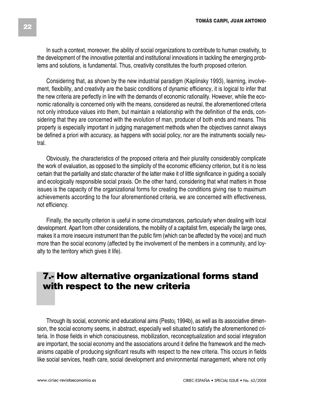In such a context, moreover, the ability of social organizations to contribute to human creativity, to the development of the innovative potential and institutional innovations in tackling the emerging problems and solutions, is fundamental. Thus, creativity constitutes the fourth proposed criterion.

Considering that, as shown by the new industrial paradigm (Kaplinsky 1993), learning, involvement, flexibility, and creativity are the basic conditions of dynamic efficiency, it is logical to infer that the new criteria are perfectly in line with the demands of economic rationality. However, while the economic rationality is concerned only with the means, considered as neutral, the aforementioned criteria not only introduce values into them, but maintain a relationship with the definition of the ends, considering that they are concerned with the evolution of man, producer of both ends and means. This property is especially important in judging management methods when the objectives cannot always be defined a priori with accuracy, as happens with social policy, nor are the instruments socially neutral.

Obviously, the characteristics of the proposed criteria and their plurality considerably complicate the work of evaluation, as opposed to the simplicity of the economic efficiency criterion, but it is no less certain that the partiality and static character of the latter make it of little significance in guiding a socially and ecologically responsible social praxis. On the other hand, considering that what matters in those issues is the capacity of the organizational forms for creating the conditions giving rise to maximum achievements according to the four aforementioned criteria, we are concerned with effectiveness, not efficiency.

Finally, the security criterion is useful in some circumstances, particularly when dealing with local development. Apart from other considerations, the mobility of a capitalist firm, especially the large ones, makes it a more insecure instrument than the public firm (which can be affected by the voice) and much more than the social economy (affected by the involvement of the members in a community, and loyalty to the territory which gives it life).

# **7.- How alternative organizational forms stand with respect to the new criteria**

Through its social, economic and educational aims (Pesto¡ 1994b), as well as its associative dimension, the social economy seems, in abstract, especially well situated to satisfy the aforementioned criteria. In those fields in which consciousness, mobilization, reconceptualization and social integration are important, the social economy and the associations around it define the framework and the mechanisms capable of producing significant results with respect to the new criteria. This occurs in fields like social services, heath care, social development and environmental management, where not only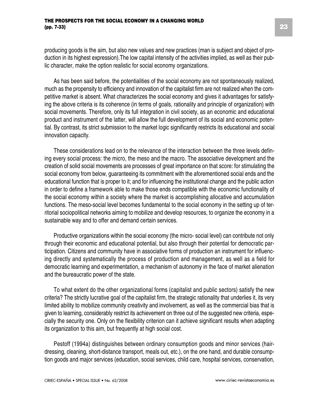producing goods is the aim, but also new values and new practices (man is subject and object of production in its highest expression).The low capital intensity of the activities implied, as well as their public character, make the option realistic for social economy organizations.

As has been said before, the potentialities of the social economy are not spontaneously realized, much as the propensity to efficiency and innovation of the capitalist firm are not realized when the competitive market is absent. What characterizes the social economy and gives it advantages for satisfying the above criteria is its coherence (in terms of goals, rationality and principle of organization) with social movements. Therefore, only its full integration in civil society, as an economic and educational product and instrument of the latter, will allow the full development of its social and economic potential. By contrast, its strict submission to the market logic significantly restricts its educational and social innovation capacity.

These considerations lead on to the relevance of the interaction between the three levels defining every social process: the micro, the meso and the macro. The associative development and the creation of solid social movements are processes of great importance on that score: for stimulating the social economy from below, guaranteeing its commitment with the aforementioned social ends and the educational function that is proper to it; and for influencing the institutional change and the public action in order to define a framework able to make those ends compatible with the economic functionality of the social economy within a society where the market is accomplishing allocative and accumulation functions. The meso-social level becomes fundamental to the social economy in the setting up of territorial sociopolitical networks aiming to mobilize and develop resources, to organize the economy in a sustainable way and to offer and demand certain services.

Productive organizations within the social economy (the micro- social level) can contribute not only through their economic and educational potential, but also through their potential for democratic participation. Citizens and community have in associative forms of production an instrument for influencing directly and systematically the process of production and management, as well as a field for democratic learning and experimentation, a mechanism of autonomy in the face of market alienation and the bureaucratic power of the state.

To what extent do the other organizational forms (capitalist and public sectors) satisfy the new criteria? The strictly lucrative goal of the capitalist firm, the strategic rationality that underlies it, its very limited ability to mobilize community creativity and involvement, as well as the commercial bias that is given to learning, considerably restrict its achievement on three out of the suggested new criteria, especially the security one. Only on the flexibility criterion can it achieve significant results when adapting its organization to this aim, but frequently at high social cost.

Pestoff (1994a) distinguishes between ordinary consumption goods and minor services (hairdressing, cleaning, short-distance transport, meals out, etc.), on the one hand, and durable consumption goods and major services (education, social services, child care, hospital services, conservation,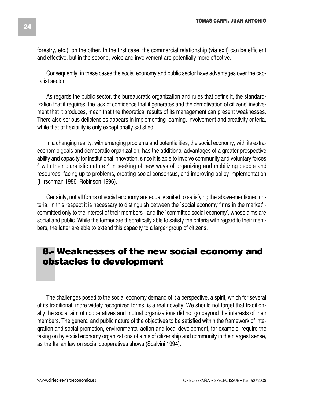forestry, etc.), on the other. In the first case, the commercial relationship (via exit) can be efficient and effective, but in the second, voice and involvement are potentially more effective.

Consequently, in these cases the social economy and public sector have advantages over the capitalist sector.

As regards the public sector, the bureaucratic organization and rules that define it, the standardization that it requires, the lack of confidence that it generates and the demotivation of citizens' involvement that it produces, mean that the theoretical results of its management can present weaknesses. There also serious deficiencies appears in implementing learning, involvement and creativity criteria, while that of flexibility is only exceptionally satisfied.

In a changing reality, with emerging problems and potentialities, the social economy, with its extraeconomic goals and democratic organization, has the additional advantages of a greater prospective ability and capacity for institutional innovation, since it is able to involve community and voluntary forces  $\land$  with their pluralistic nature  $\land$  in seeking of new ways of organizing and mobilizing people and resources, facing up to problems, creating social consensus, and improving policy implementation (Hirschman 1986, Robinson 1996).

Certainly, not all forms of social economy are equally suited to satisfying the above-mentioned criteria. In this respect it is necessary to distinguish between the `social economy firms in the market' committed only to the interest of their members - and the `committed social economy', whose aims are social and public. While the former are theoretically able to satisfy the criteria with regard to their members, the latter are able to extend this capacity to a larger group of citizens.

# **8.- Weaknesses of the new social economy and obstacles to development**

The challenges posed to the social economy demand of it a perspective, a spirit, which for several of its traditional, more widely recognized forms, is a real novelty. We should not forget that traditionally the social aim of cooperatives and mutual organizations did not go beyond the interests of their members. The general and public nature of the objectives to be satisfied within the framework of integration and social promotion, environmental action and local development, for example, require the taking on by social economy organizations of aims of citizenship and community in their largest sense, as the Italian law on social cooperatives shows (Scalvini 1994).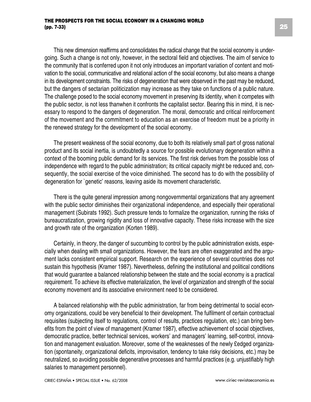This new dimension reaffirms and consolidates the radical change that the social economy is undergoing. Such a change is not only, however, in the sectoral field and objectives. The aim of service to the community that is conferred upon it not only introduces an important variation of content and motivation to the social, communicative and relational action of the social economy, but also means a change in its development constraints. The risks of degeneration that were observed in the past may be reduced, but the dangers of sectarian politicization may increase as they take on functions of a public nature. The challenge posed to the social economy movement in preserving its identity, when it competes with the public sector, is not less thanwhen it confronts the capitalist sector. Bearing this in mind, it is necessary to respond to the dangers of degeneration. The moral, democratic and critical reinforcement of the movement and the commitment to education as an exercise of freedom must be a priority in the renewed strategy for the development of the social economy.

The present weakness of the social economy, due to both its relatively small part of gross national product and its social inertia, is undoubtedly a source for possible evolutionary degeneration within a context of the booming public demand for its services. The first risk derives from the possible loss of independence with regard to the public administration; its critical capacity might be reduced and, consequently, the social exercise of the voice diminished. The second has to do with the possibility of degeneration for `genetic' reasons, leaving aside its movement characteristic.

There is the quite general impression among nongovernmental organizations that any agreement with the public sector diminishes their organizational independence, and especially their operational management (Subirats 1992). Such pressure tends to formalize the organization, running the risks of bureaucratization, growing rigidity and loss of innovative capacity. These risks increase with the size and growth rate of the organization (Korten 1989).

Certainly, in theory, the danger of succumbing to control by the public administration exists, especially when dealing with small organizations. However, the fears are often exaggerated and the argument lacks consistent empirical support. Research on the experience of several countries does not sustain this hypothesis (Kramer 1987). Nevertheless, defining the institutional and political conditions that would guarantee a balanced relationship between the state and the social economy is a practical requirement. To achieve its effective materialization, the level of organization and strength of the social economy movement and its associative environment need to be considered.

A balanced relationship with the public administration, far from being detrimental to social economy organizations, could be very beneficial to their development. The fulfilment of certain contractual requisites (subjecting itself to regulations, control of results, practices regulation, etc.) can bring benefits from the point of view of management (Kramer 1987), effective achievement of social objectives, democratic practice, better technical services, workers' and managers' learning, self-control, innovation and management evaluation. Moreover, some of the weaknesses of the newly £edged organization (spontaneity, organizational deficits, improvisation, tendency to take risky decisions, etc.) may be neutralized, so avoiding possible degenerative processes and harmful practices (e.g. unjustifiably high salaries to management personnel).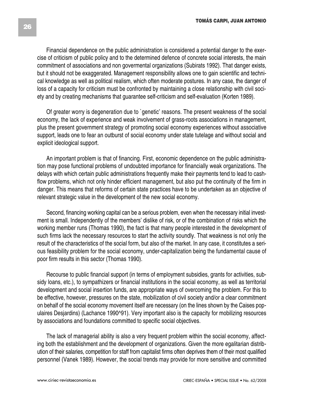Financial dependence on the public administration is considered a potential danger to the exercise of criticism of public policy and to the determined defence of concrete social interests, the main commitment of associations and non govermental organizations (Subirats 1992). That danger exists, but it should not be exaggerated. Management responsibility allows one to gain scientific and technical knowledge as well as political realism, which often moderate postures. In any case, the danger of loss of a capacity for criticism must be confronted by maintaining a close relationship with civil society and by creating mechanisms that guarantee self-criticism and self-evaluation (Korten 1989).

Of greater worry is degeneration due to `genetic' reasons. The present weakness of the social economy, the lack of experience and weak involvement of grass-roots associations in management, plus the present government strategy of promoting social economy experiences without associative support, leads one to fear an outburst of social economy under state tutelage and without social and explicit ideological support.

An important problem is that of financing. First, economic dependence on the public administration may pose functional problems of undoubted importance for financially weak organizations. The delays with which certain public administrations frequently make their payments tend to lead to cashflow problems, which not only hinder efficient management, but also put the continuity of the firm in danger. This means that reforms of certain state practices have to be undertaken as an objective of relevant strategic value in the development of the new social economy.

Second, financing working capital can be a serious problem, even when the necessary initial investment is small. Independently of the members' dislike of risk, or of the combination of risks which the working member runs (Thomas 1990), the fact is that many people interested in the development of such firms lack the necessary resources to start the activity soundly. That weakness is not only the result of the characteristics of the social form, but also of the market. In any case, it constitutes a serious feasibility problem for the social economy, under-capitalization being the fundamental cause of poor firm results in this sector (Thomas 1990).

Recourse to public financial support (in terms of employment subsidies, grants for activities, subsidy loans, etc.), to sympathizers or financial institutions in the social economy, as well as territorial development and social insertion funds, are appropriate ways of overcoming the problem. For this to be effective, however, pressures on the state, mobilization of civil society and/or a clear commitment on behalf of the social economy movement itself are necessary (on the lines shown by the Caises populaires Desjardins) (Lachance 1990^91). Very important also is the capacity for mobilizing resources by associations and foundations committed to specific social objectives.

The lack of managerial ability is also a very frequent problem within the social economy, affecting both the establishment and the development of organizations. Given the more egalitarian distribution of their salaries, competition for staff from capitalist firms often deprives them of their most qualified personnel (Vanek 1989). However, the social trends may provide for more sensitive and committed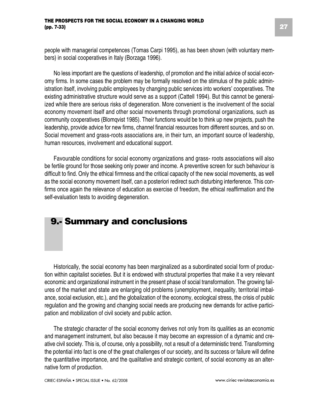#### **THE PROSPECTS FOR THE SOCIAL ECONOMY IN A CHANGING WORLD (pp. 7-33)**

people with managerial competences (Tomas Carpi 1995), as has been shown (with voluntary members) in social cooperatives in Italy (Borzaga 1996).

No less important are the questions of leadership, of promotion and the initial advice of social economy firms. In some cases the problem may be formally resolved on the stimulus of the public administration itself, involving public employees by changing public services into workers' cooperatives. The existing administrative structure would serve as a support (Cattell 1994). But this cannot be generalized while there are serious risks of degeneration. More convenient is the involvement of the social economy movement itself and other social movements through promotional organizations, such as community cooperatives (Blomqvist 1985). Their functions would be to think up new projects, push the leadership, provide advice for new firms, channel financial resources from different sources, and so on. Social movement and grass-roots associations are, in their turn, an important source of leadership, human resources, involvement and educational support.

Favourable conditions for social economy organizations and grass- roots associations will also be fertile ground for those seeking only power and income. A preventive screen for such behaviour is difficult to find. Only the ethical firmness and the critical capacity of the new social movements, as well as the social economy movement itself, can a posteriori redirect such disturbing interference. This confirms once again the relevance of education as exercise of freedom, the ethical reaffirmation and the self-evaluation tests to avoiding degeneration.

# **9.- Summary and conclusions**

Historically, the social economy has been marginalized as a subordinated social form of production within capitalist societies. But it is endowed with structural properties that make it a very relevant economic and organizational instrument in the present phase of social transformation. The growing failures of the market and state are enlarging old problems (unemployment, inequality, territorial imbalance, social exclusion, etc.), and the globalization of the economy, ecological stress, the crisis of public regulation and the growing and changing social needs are producing new demands for active participation and mobilization of civil society and public action.

The strategic character of the social economy derives not only from its qualities as an economic and management instrument, but also because it may become an expression of a dynamic and creative civil society. This is, of course, only a possibility, not a result of a deterministic trend. Transforming the potential into fact is one of the great challenges of our society, and its success or failure will define the quantitative importance, and the qualitative and strategic content, of social economy as an alternative form of production.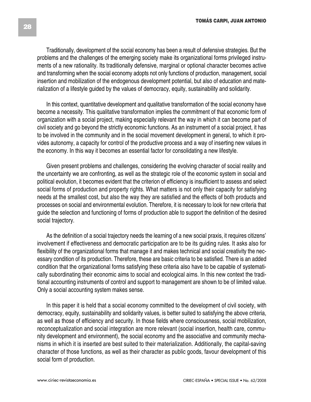Traditionally, development of the social economy has been a result of defensive strategies. But the problems and the challenges of the emerging society make its organizational forms privileged instruments of a new rationality. Its traditionally defensive, marginal or optional character becomes active and transforming when the social economy adopts not only functions of production, management, social insertion and mobilization of the endogenous development potential, but also of education and materialization of a lifestyle guided by the values of democracy, equity, sustainability and solidarity.

In this context, quantitative development and qualitative transformation of the social economy have become a necessity. This qualitative transformation implies the commitment of that economic form of organization with a social project, making especially relevant the way in which it can become part of civil society and go beyond the strictly economic functions. As an instrument of a social project, it has to be involved in the community and in the social movement development in general, to which it provides autonomy, a capacity for control of the productive process and a way of inserting new values in the economy. In this way it becomes an essential factor for consolidating a new lifestyle.

Given present problems and challenges, considering the evolving character of social reality and the uncertainty we are confronting, as well as the strategic role of the economic system in social and political evolution, it becomes evident that the criterion of efficiency is insufficient to assess and select social forms of production and property rights. What matters is not only their capacity for satisfying needs at the smallest cost, but also the way they are satisfied and the effects of both products and processes on social and environmental evolution. Therefore, it is necessary to look for new criteria that guide the selection and functioning of forms of production able to support the definition of the desired social trajectory.

As the definition of a social trajectory needs the learning of a new social praxis, it requires citizens' involvement if effectiveness and democratic participation are to be its guiding rules. It asks also for flexibility of the organizational forms that manage it and makes technical and social creativity the necessary condition of its production. Therefore, these are basic criteria to be satisfied. There is an added condition that the organizational forms satisfying these criteria also have to be capable of systematically subordinating their economic aims to social and ecological aims. In this new context the traditional accounting instruments of control and support to management are shown to be of limited value. Only a social accounting system makes sense.

In this paper it is held that a social economy committed to the development of civil society, with democracy, equity, sustainability and solidarity values, is better suited to satisfying the above criteria, as well as those of efficiency and security. In those fields where consciousness, social mobilization, reconceptualization and social integration are more relevant (social insertion, health care, community development and environment), the social economy and the associative and community mechanisms in which it is inserted are best suited to their materialization. Additionally, the capital-saving character of those functions, as well as their character as public goods, favour development of this social form of production.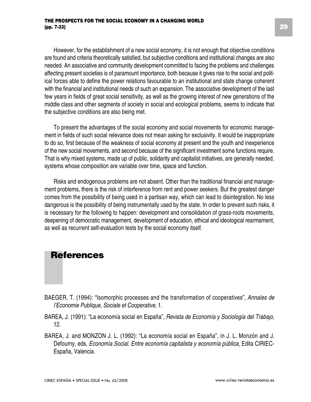However, for the establishment of a new social economy, it is not enough that objective conditions are found and criteria theoretically satisfied, but subjective conditions and institutional changes are also needed. An associative and community development committed to facing the problems and challenges affecting present societies is of paramount importance, both because it gives rise to the social and political forces able to define the power relations favourable to an institutional and state change coherent with the financial and institutional needs of such an expansion. The associative development of the last few years in fields of great social sensitivity, as well as the growing interest of new generations of the middle class and other segments of society in social and ecological problems, seems to indicate that the subjective conditions are also being met.

To present the advantages of the social economy and social movements for economic management in fields of such social relevance does not mean asking for exclusivity. It would be inappropriate to do so, first because of the weakness of social economy at present and the youth and inexperience of the new social movements, and second because of the significant investment some functions require. That is why mixed systems, made up of public, solidarity and capitalist initiatives, are generally needed, systems whose composition are variable over time, space and function.

Risks and endogenous problems are not absent. Other than the traditional financial and management problems, there is the risk of interference from rent and power seekers. But the greatest danger comes from the possibility of being used in a partisan way, which can lead to disintegration. No less dangerous is the possibility of being instrumentally used by the state. In order to prevent such risks, it is necessary for the following to happen: development and consolidation of grass-roots movements, deepening of democratic management, development of education, ethical and ideological rearmament, as well as recurrent self-evaluation tests by the social economy itself.

### **References**

- BAEGER, T. (1994): "Isomorphic processes and the transformation of cooperatives", *Annales de l'Economie Publique, Sociale et Cooperative*, 1.
- BAREA, J. (1991): "La economía social en España", *Revista de Economía y Sociología del Trabajo*, 12.
- BAREA, J. and MONZON J. L. (1992): "La economía social en España", in J. L. Monzón and J. Defourny, eds, *Economía Social. Entre economía capitalista y economía pública*, Edita CIRIEC-España, Valencia.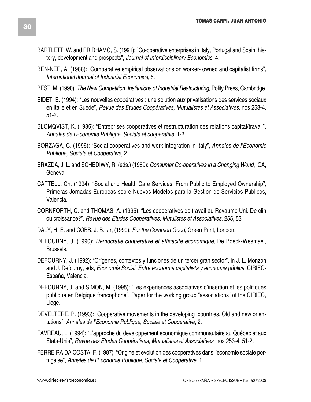- BARTLETT, W. and PRIDHAMG, S. (1991): "Co-operative enterprises in Italy, Portugal and Spain: history, development and prospects", *Journal of Interdisciplinary Economics*, 4.
- BEN-NER, A. (1988): "Comparative empirical observations on worker- owned and capitalist firms", *International Journal of Industrial Economics*, 6.
- BEST, M. (1990): *The New Competition. Institutions of Industrial Restructuring*, Polity Press, Cambridge.
- BIDET, E. (1994): "Les nouvelles coopératives : une solution aux privatisations des services sociaux en Italie et en Suede", *Revue des Etudes Coopératives, Mutualistes et Associatives*, nos 253-4, 51-2.
- BLOMQVIST, K. (1985): "Entreprises cooperatives et restructuration des relations capital/travail", *Annales de l'Economie Publique, Sociale et cooperative,* 1-2
- BORZAGA, C. (1996): "Social cooperatives and work integration in Italy", *Annales de l'Economie Publique, Sociale et Cooperative*, 2.
- BRAZDA, J. L. and SCHEDIWY, R. (eds.) (1989): *Consumer Co-operatives in a Changing World*, ICA, Geneva.
- CATTELL, Ch. (1994): "Social and Health Care Services: From Public to Employed Ownership", Primeras Jornadas Europeas sobre Nuevos Modelos para la Gestion de Servicios Públicos, Valencia.
- CORNFORTH, C. and THOMAS, A. (1995): "Les cooperatives de travail au Royaume Uni. De clin ou croissance?"*, Revue des Etudes Cooperatives, Mutulistes et Associatives*, 255, 53
- DALY, H. E. and COBB, J. B., Jr, (1990): *For the Common Good*, Green Print, London.
- DEFOURNY, J. (1990): *Democratie cooperative et efficacite economique*, De Boeck-Wesmael, Brussels.
- DEFOURNY, J. (1992): "Orígenes, contextos y funciones de un tercer gran sector", in J. L. Monzón and J. Defourny, eds, *Economía Social. Entre economía capitalista y economía pública*, CIRIEC-España, Valencia.
- DEFOURNY, J. and SIMON, M. (1995): "Les experiences associatives d'insertion et les politiques publique en Belgique francophone", Paper for the working group "associations" of the CIRIEC, Liege.
- DEVELTERE, P. (1993): "Cooperative movements in the developing countries. Old and new orientations", *Annales de l'Economie Publique, Sociale et Cooperative*, 2.
- FAVREAU, L. (1994): "L'approche du developpement economique communautaire au Québec et aux Etats-Unis", *Revue des Etudes Coopératives, Mutualistes et Associatives*, nos 253-4, 51-2.
- FERREIRA DA COSTA, F. (1987): "Origine et evolution des cooperatives dans l'economie sociale portugaise", *Annales de l'Economie Publique, Sociale et Cooperative*, 1.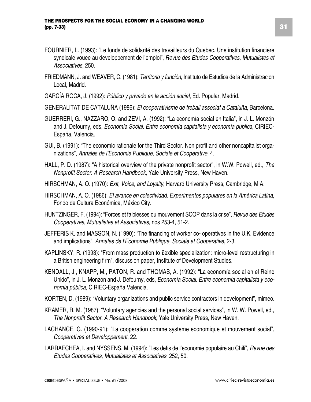- FOURNIER, L. (1993): "Le fonds de solidarité des travailleurs du Quebec. Une institution financiere syndicale vouee au developpement de l'emploi", *Revue des Etudes Cooperatives, Mutualistes et Associatives*, 250.
- FRIEDMANN, J. and WEAVER, C. (1981): *Territorio y función*, Instituto de Estudios de la Administracion Local, Madrid.
- GARCÍA ROCA, J. (1992): *Público y privado en la acción social*, Ed. Popular, Madrid.
- GENERALITAT DE CATALUÑA (1986): *El cooperativisme de treball associat a Cataluña*, Barcelona.
- GUERRERI, G., NAZZARO, O. and ZEVI, A. (1992): "La economía social en Italia", in J. L. Monzón and J. Defourny, eds, *Economía Social. Entre economía capitalista y economía pública*, CIRIEC-España, Valencia.
- GUI, B. (1991): "The economic rationale for the Third Sector. Non profit and other noncapitalist organizations", *Annales de l'Economie Publique, Sociale et Cooperative*, 4.
- HALL, P. D. (1987): "A historical overview of the private nonprofit sector", in W.W. Powell, ed., *The Nonprofit Sector. A Research Handbook*, Yale University Press, New Haven.
- HIRSCHMAN, A. O. (1970): *Exit, Voice, and Loyalty*, Harvard University Press, Cambridge, M A.
- HIRSCHMAN, A. O. (1986): *El avance en colectividad. Experimentos populares en la América Latina*, Fondo de Cultura Económica, México City.
- HUNTZINGER, F. (1994): "Forces et faiblesses du mouvement SCOP dans la crise", *Revue des Etudes Cooperatives, Mutualistes et Associatives,* nos 253-4, 51-2.
- JEFFERIS K. and MASSON, N. (1990): "The financing of worker co- operatives in the U.K. Evidence and implications", *Annales de l'Economie Publique, Sociale et Cooperative*, 2-3.
- KAPLINSKY, R. (1993): "From mass production to £exible specialization: micro-level restructuring in a British engineering firm", discussion paper, Institute of Development Studies.
- KENDALL, J., KNAPP, M., PATON, R. and THOMAS, A. (1992): "La economía social en el Reino Unido", in J. L. Monzón and J. Defourny, eds, *Economía Social. Entre economía capitalista y economía pública*, CIRIEC-España,Valencia.
- KORTEN, D. (1989): "Voluntary organizations and public service contractors in development", mimeo.
- KRAMER, R. M. (1987): "Voluntary agencies and the personal social services", in W. W. Powell, ed., *The Nonprofit Sector. A Research Handbook*, Yale University Press, New Haven.
- LACHANCE, G. (1990-91): "La cooperation comme systeme economique et mouvement social", *Cooperatives et Developpement*, 22.
- LARRAECHEA, I. and NYSSENS, M. (1994): "Les defis de l'economie populaire au Chili", *Revue des Etudes Cooperatives, Mutualistes et Associatives*, 252, 50.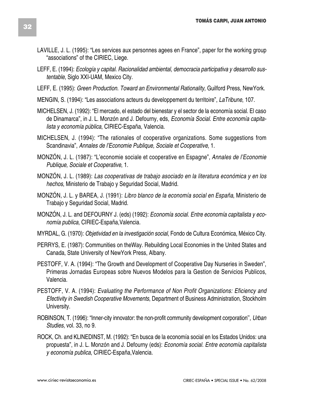- LAVILLE, J. L. (1995): "Les services aux personnes agees en France", paper for the working group "associations" of the CIRIEC, Liege.
- LEFF, E. (1994): *Ecología y capital. Racionalidad ambiental, democracia participativa y desarrollo sustentable*, Siglo XXI-UAM, Mexico City.
- LEFF, E. (1995): *Green Production. Toward an Environmental Rationality*, Guilford Press, NewYork.
- MENGIN, S. (1994): "Les associations acteurs du developpement du territoire", *LaTribune*, 107.
- MICHELSEN, J. (1992): "El mercado, el estado del bienestar y el sector de la economía social. El caso de Dinamarca", in J. L. Monzón and J. Defourny, eds, *Economía Social. Entre economía capitalista y economía pública*, CIRIEC-España, Valencia.
- MICHELSEN, J. (1994): "The rationales of cooperative organizations. Some suggestions from Scandinavia", *Annales de l'Economie Publique, Sociale et Cooperative*, 1.
- MONZÓN, J. L. (1987): "L'economie sociale et cooperative en Espagne", *Annales de l'Economie Publique, Sociale et Cooperative*, 1.
- MONZÓN, J. L. (1989): *Las cooperativas de trabajo asociado en la literatura económica y en los hechos*, Ministerio de Trabajo y Seguridad Social, Madrid.
- MONZÓN, J. L. y BAREA, J. (1991): *Libro blanco de la economía social en España*, Ministerio de Trabajo y Seguridad Social, Madrid.
- MONZÓN, J. L. and DEFOURNY J. (eds) (1992): *Economía social. Entre economía capitalista y economía publica*, CIRIEC-España,Valencia.
- MYRDAL, G. (1970): *Objetividad en la investigación social*, Fondo de Cultura Económica, México City.
- PERRYS, E. (1987): Communities on theWay. Rebuilding Local Economies in the United States and Canada, State University of NewYork Press, Albany.
- PESTOFF, V. A. (1994): "The Growth and Development of Cooperative Day Nurseries in Sweden", Primeras Jornadas Europeas sobre Nuevos Modelos para la Gestion de Servicios Publicos, Valencia.
- PESTOFF, V. A. (1994): *Evaluating the Performance of Non Profit Organizations: Eficiency and Efectivity in Swedish Cooperative Movements*, Department of Business Administration, Stockholm University.
- ROBINSON, T. (1996): "Inner-city innovator: the non-profit community development corporation'', *Urban Studies*, vol. 33, no 9.
- ROCK, Ch. and KLINEDINST, M. (1992): "En busca de la economía social en los Estados Unidos: una propuesta", in J. L. Monzón and J. Defourny (eds): *Economía social. Entre economía capitalista y economía publica*, CIRIEC-España,Valencia.